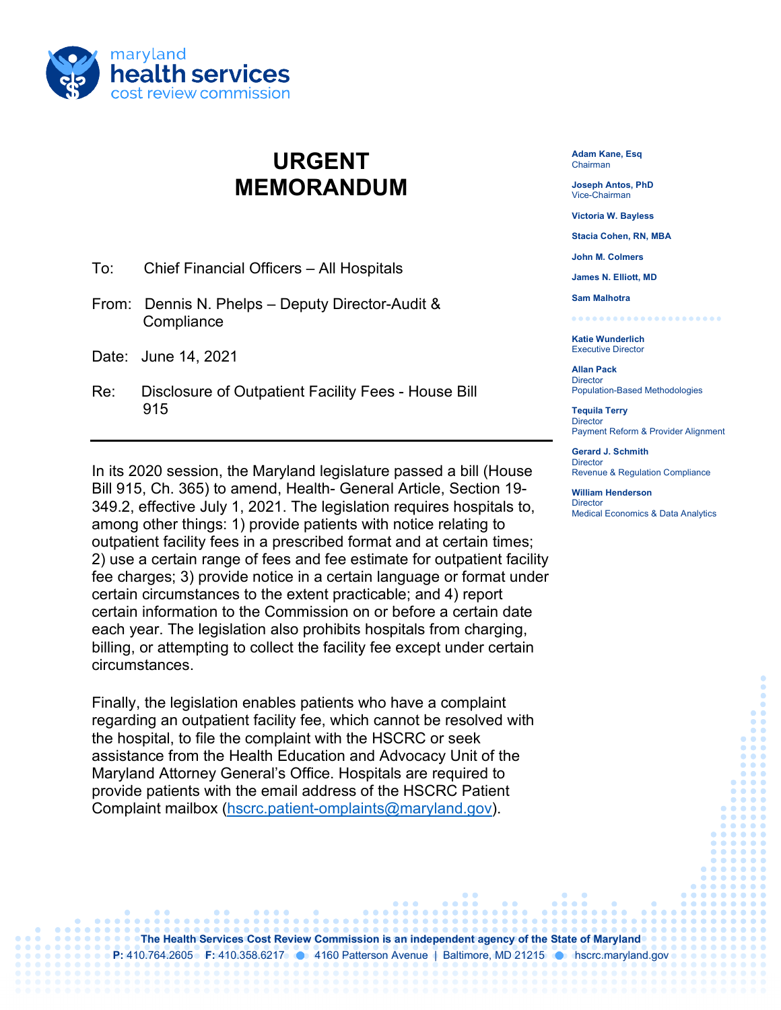

## **URGENT MEMORANDUM**

- To: Chief Financial Officers All Hospitals
- From: Dennis N. Phelps Deputy Director-Audit & **Compliance**
- Date: June 14, 2021
- Re: Disclosure of Outpatient Facility Fees House Bill 915

In its 2020 session, the Maryland legislature passed a bill (House Bill 915, Ch. 365) to amend, Health- General Article, Section 19- 349.2, effective July 1, 2021. The legislation requires hospitals to, among other things: 1) provide patients with notice relating to outpatient facility fees in a prescribed format and at certain times; 2) use a certain range of fees and fee estimate for outpatient facility fee charges; 3) provide notice in a certain language or format under certain circumstances to the extent practicable; and 4) report certain information to the Commission on or before a certain date each year. The legislation also prohibits hospitals from charging, billing, or attempting to collect the facility fee except under certain circumstances.

Finally, the legislation enables patients who have a complaint regarding an outpatient facility fee, which cannot be resolved with the hospital, to file the complaint with the HSCRC or seek assistance from the Health Education and Advocacy Unit of the Maryland Attorney General's Office. Hospitals are required to provide patients with the email address of the HSCRC Patient Complaint mailbox [\(hscrc.patient-omplaints@maryland.gov\)](mailto:hscrc.patient-complaints@maryland.gov).

**Adam Kane, Esq** Chairman

**Joseph Antos, PhD** Vice-Chairman

**Victoria W. Bayless**

**Stacia Cohen, RN, MBA**

**John M. Colmers**

**James N. Elliott, MD**

**Sam Malhotra** ........

**Katie Wunderlich** Executive Director

**Allan Pack Director** Population-Based Methodologies

**Tequila Terry Director** Payment Reform & Provider Alignment

**Gerard J. Schmith Director** Revenue & Regulation Compliance

**William Henderson Director** Medical Economics & Data Analytics

**The Health Services Cost Review Commission is an independent agency of the State of Maryland P:** 410.764.2605 **F:** 410.358.6217 **1** 4160 Patterson Avenue | Baltimore, MD 21215 **1** hscrc.maryland.gov